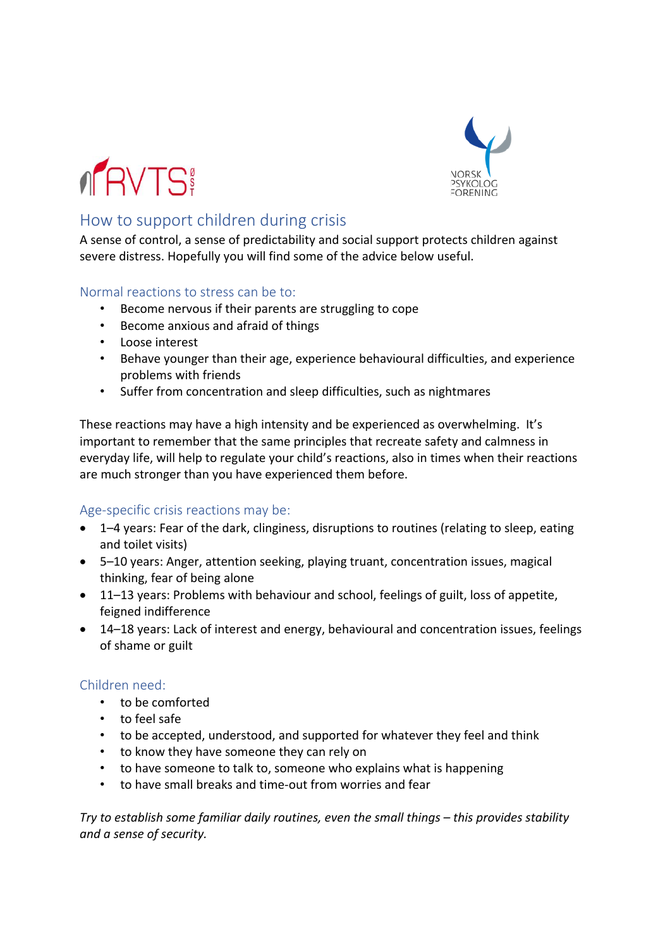



# How to support children during crisis

A sense of control, a sense of predictability and social support protects children against severe distress. Hopefully you will find some of the advice below useful.

# Normal reactions to stress can be to:

- Become nervous if their parents are struggling to cope
- Become anxious and afraid of things
- Loose interest
- Behave younger than their age, experience behavioural difficulties, and experience problems with friends
- Suffer from concentration and sleep difficulties, such as nightmares

These reactions may have a high intensity and be experienced as overwhelming. It's important to remember that the same principles that recreate safety and calmness in everyday life, will help to regulate your child's reactions, also in times when their reactions are much stronger than you have experienced them before.

# Age-specific crisis reactions may be:

- 1–4 years: Fear of the dark, clinginess, disruptions to routines (relating to sleep, eating and toilet visits)
- 5–10 years: Anger, attention seeking, playing truant, concentration issues, magical thinking, fear of being alone
- 11–13 years: Problems with behaviour and school, feelings of guilt, loss of appetite, feigned indifference
- 14–18 years: Lack of interest and energy, behavioural and concentration issues, feelings of shame or guilt

# Children need:

- to be comforted
- to feel safe
- to be accepted, understood, and supported for whatever they feel and think
- to know they have someone they can rely on
- to have someone to talk to, someone who explains what is happening
- to have small breaks and time-out from worries and fear

*Try to establish some familiar daily routines, even the small things – this provides stability and a sense of security.*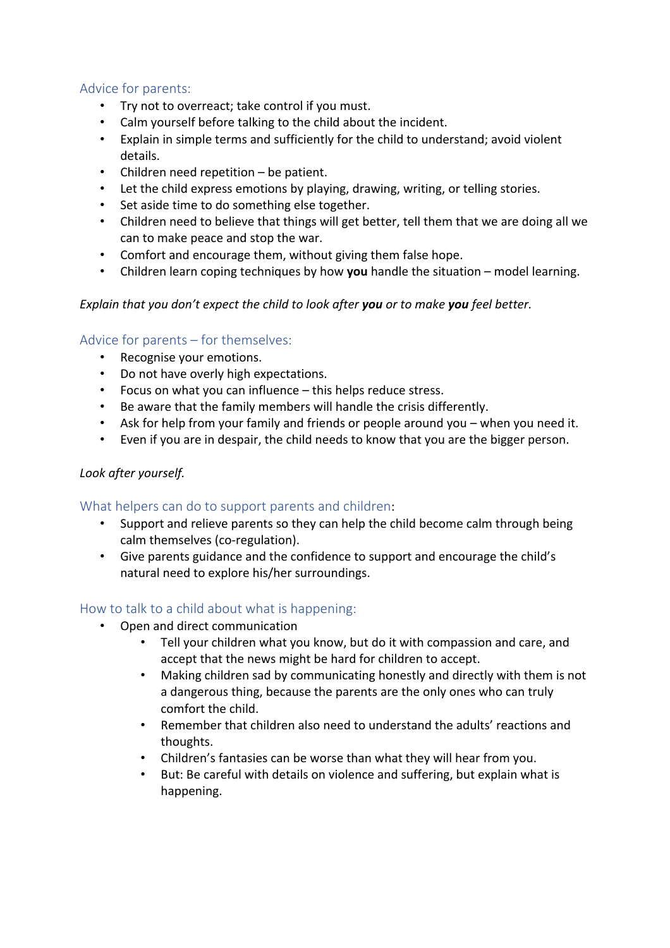# Advice for parents:

- Try not to overreact; take control if you must.
- Calm yourself before talking to the child about the incident.
- Explain in simple terms and sufficiently for the child to understand; avoid violent details.
- Children need repetition be patient.
- Let the child express emotions by playing, drawing, writing, or telling stories.
- Set aside time to do something else together.
- Children need to believe that things will get better, tell them that we are doing all we can to make peace and stop the war.
- Comfort and encourage them, without giving them false hope.
- Children learn coping techniques by how **you** handle the situation model learning.

#### *Explain that you don't expect the child to look after you or to make you feel better.*

#### Advice for parents – for themselves:

- Recognise your emotions.
- Do not have overly high expectations.
- Focus on what you can influence this helps reduce stress.
- Be aware that the family members will handle the crisis differently.
- Ask for help from your family and friends or people around you when you need it.
- Even if you are in despair, the child needs to know that you are the bigger person.

## *Look after yourself.*

#### What helpers can do to support parents and children:

- Support and relieve parents so they can help the child become calm through being calm themselves (co-regulation).
- Give parents guidance and the confidence to support and encourage the child's natural need to explore his/her surroundings.

# How to talk to a child about what is happening:

- Open and direct communication
	- Tell your children what you know, but do it with compassion and care, and accept that the news might be hard for children to accept.
	- Making children sad by communicating honestly and directly with them is not a dangerous thing, because the parents are the only ones who can truly comfort the child.
	- Remember that children also need to understand the adults' reactions and thoughts.
	- Children's fantasies can be worse than what they will hear from you.
	- But: Be careful with details on violence and suffering, but explain what is happening.